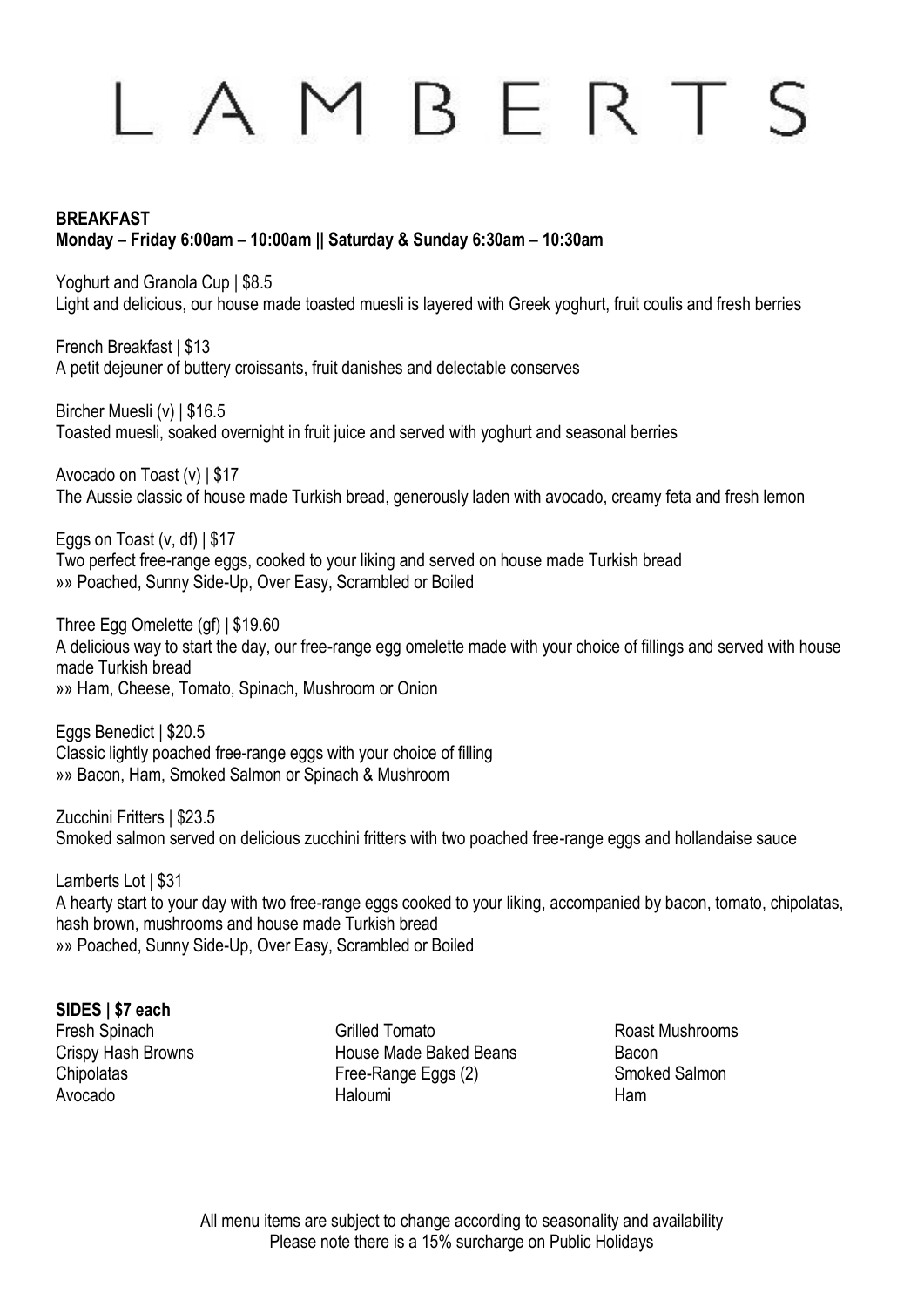# BERTS

### **BREAKFAST Monday – Friday 6:00am – 10:00am || Saturday & Sunday 6:30am – 10:30am**

Yoghurt and Granola Cup | \$8.5 Light and delicious, our house made toasted muesli is layered with Greek yoghurt, fruit coulis and fresh berries

French Breakfast | \$13 A petit dejeuner of buttery croissants, fruit danishes and delectable conserves

Bircher Muesli (v) | \$16.5 Toasted muesli, soaked overnight in fruit juice and served with yoghurt and seasonal berries

Avocado on Toast (v) | \$17 The Aussie classic of house made Turkish bread, generously laden with avocado, creamy feta and fresh lemon

Eggs on Toast (v, df) | \$17 Two perfect free-range eggs, cooked to your liking and served on house made Turkish bread »» Poached, Sunny Side-Up, Over Easy, Scrambled or Boiled

Three Egg Omelette (gf) | \$19.60 A delicious way to start the day, our free-range egg omelette made with your choice of fillings and served with house made Turkish bread »» Ham, Cheese, Tomato, Spinach, Mushroom or Onion

Eggs Benedict | \$20.5 Classic lightly poached free-range eggs with your choice of filling »» Bacon, Ham, Smoked Salmon or Spinach & Mushroom

Zucchini Fritters | \$23.5 Smoked salmon served on delicious zucchini fritters with two poached free-range eggs and hollandaise sauce

Lamberts Lot | \$31 A hearty start to your day with two free-range eggs cooked to your liking, accompanied by bacon, tomato, chipolatas, hash brown, mushrooms and house made Turkish bread »» Poached, Sunny Side-Up, Over Easy, Scrambled or Boiled

### **SIDES | \$7 each**

Fresh Spinach **Grilled Tomato** Grilled Tomato Roast Mushrooms Crispy Hash Browns **Example 20** House Made Baked Beans Bacon Chipolatas Free-Range Eggs (2) Smoked Salmon Avocado Haloumi Ham